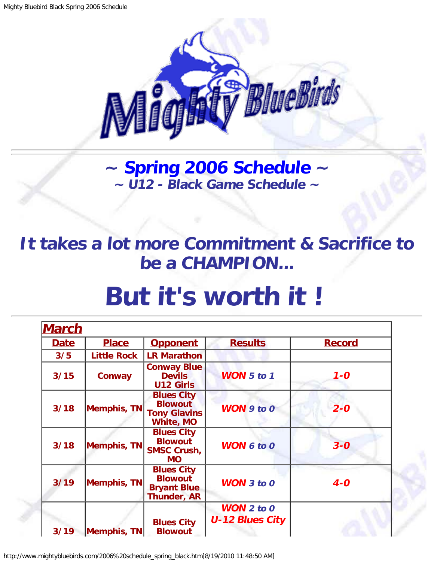

**~ [Spring 2006 Schedule](#page-1-0) ~ ~ U12 - Black Game Schedule ~**

<span id="page-0-0"></span>**It takes a lot more Commitment & Sacrifice to be a CHAMPION...**

## **But it's worth it !**

| <b>March</b> |                    |                                                                                |                                             |               |
|--------------|--------------------|--------------------------------------------------------------------------------|---------------------------------------------|---------------|
| Date         | <u>Place</u>       | <b>Opponent</b>                                                                | <b>Results</b>                              | <b>Record</b> |
| 3/5          | <b>Little Rock</b> | <b>LR Marathon</b>                                                             |                                             |               |
| 3/15         | <b>Conway</b>      | <b>Conway Blue</b><br><b>Devils</b><br><b>U12 Girls</b>                        | <b>WON 5 to 1</b>                           | $1 - 0$       |
| 3/18         | Memphis, TN        | <b>Blues City</b><br><b>Blowout</b><br><b>Tony Glavins</b><br><b>White, MO</b> | <b>WON 9 to 0</b>                           | $2 - 0$       |
| 3/18         | <b>Memphis, TN</b> | <b>Blues City</b><br><b>Blowout</b><br><b>SMSC Crush,</b><br><b>MO</b>         | <b>WON 6 to 0</b>                           | $3 - 0$       |
| 3/19         | <b>Memphis, TN</b> | <b>Blues City</b><br><b>Blowout</b><br><b>Bryant Blue</b><br>Thunder, AR       | <b>WON</b> $3$ to $0$                       | $4-0$         |
| 3/19         | Memphis, TN        | <b>Blues City</b><br><b>Blowout</b>                                            | <b>WON</b> 2 to 0<br><b>U-12 Blues City</b> |               |

http://www.mightybluebirds.com/2006%20schedule\_spring\_black.htm[8/19/2010 11:48:50 AM]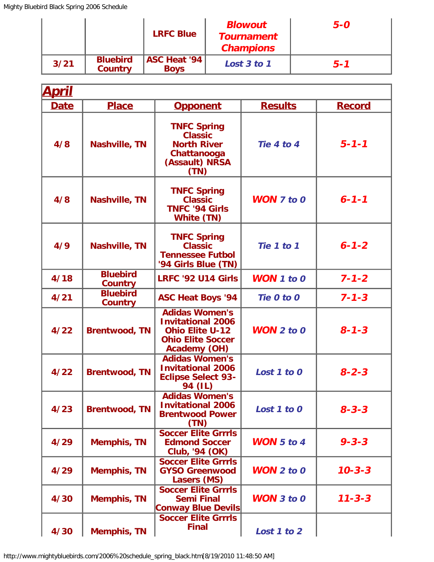|      |                                   | <b>LRFC Blue</b>                     | <b>Blowout</b><br><b>Tournament</b><br><b>Champions</b> | 5-O     |
|------|-----------------------------------|--------------------------------------|---------------------------------------------------------|---------|
| 3/21 | <b>Bluebird</b><br><b>Country</b> | <b>ASC Heat '94  </b><br><b>Boys</b> | Lost 3 to 1                                             | $5 - 1$ |

<span id="page-1-0"></span>

| <u>April</u> |                                   |                                                                                                                                |                       |               |  |
|--------------|-----------------------------------|--------------------------------------------------------------------------------------------------------------------------------|-----------------------|---------------|--|
| <b>Date</b>  | <b>Place</b>                      | <b>Opponent</b>                                                                                                                | <b>Results</b>        | <b>Record</b> |  |
| 4/8          | <b>Nashville, TN</b>              | <b>TNFC Spring</b><br><b>Classic</b><br><b>North River</b><br>Chattanooga<br>(Assault) NRSA<br>(TN)                            | Tie 4 to 4            | $5 - 1 - 1$   |  |
| 4/8          | <b>Nashville, TN</b>              | <b>TNFC Spring</b><br><b>Classic</b><br><b>TNFC '94 Girls</b><br>White (TN)                                                    | <b>WON</b> $7$ to $0$ | $6 - 1 - 1$   |  |
| 4/9          | <b>Nashville, TN</b>              | <b>TNFC Spring</b><br><b>Classic</b><br><b>Tennessee Futbol</b><br>'94 Girls Blue (TN)                                         | Tie 1 to 1            | $6 - 1 - 2$   |  |
| 4/18         | <b>Bluebird</b><br><b>Country</b> | <b>LRFC '92 U14 Girls</b>                                                                                                      | <b>WON</b> $1$ to $0$ | $7 - 1 - 2$   |  |
| 4/21         | <b>Bluebird</b><br><b>Country</b> | <b>ASC Heat Boys '94</b>                                                                                                       | Tie 0 to 0            | $7 - 1 - 3$   |  |
| 4/22         | <b>Brentwood, TN</b>              | <b>Adidas Women's</b><br><b>Invitational 2006</b><br><b>Ohio Elite U-12</b><br><b>Ohio Elite Soccer</b><br><b>Academy (OH)</b> | $WON$ 2 to 0          | $8 - 1 - 3$   |  |
| 4/22         | <b>Brentwood, TN</b>              | <b>Adidas Women's</b><br><b>Invitational 2006</b><br><b>Eclipse Select 93-</b><br>94 (IL)                                      | Lost 1 to 0           | $8 - 2 - 3$   |  |
| 4/23         | <b>Brentwood, TN</b>              | <b>Adidas Women's</b><br><b>Invitational 2006</b><br><b>Brentwood Power</b><br>(TN)                                            | Lost 1 to 0           | $8 - 3 - 3$   |  |
| 4/29         | <b>Memphis, TN</b>                | <b>Soccer Elite Grrrls</b><br><b>Edmond Soccer</b><br>Club, '94 (OK)                                                           | <b>WON</b> 5 to 4     | $9 - 3 - 3$   |  |
| 4/29         | <b>Memphis, TN</b>                | <b>Soccer Elite Grrrls</b><br><b>GYSO Greenwood</b><br>Lasers (MS)                                                             | <b>WON</b> $2$ to $0$ | $10 - 3 - 3$  |  |
| 4/30         | <b>Memphis, TN</b>                | <b>Soccer Elite Grrrls</b><br><b>Semi Final</b><br><b>Conway Blue Devils</b>                                                   | <b>WON</b> $3$ to $0$ | $11 - 3 - 3$  |  |
| 4/30         | <b>Memphis, TN</b>                | <b>Soccer Elite Grrrls</b><br><b>Final</b>                                                                                     | Lost 1 to 2           |               |  |

http://www.mightybluebirds.com/2006%20schedule\_spring\_black.htm[8/19/2010 11:48:50 AM]